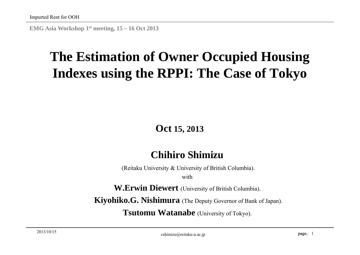**EMG Asia Workshop 1st meeting, 15 – 16 Oct 2013**

# **The Estimation of Owner Occupied Housing Indexes using the RPPI: The Case of Tokyo**

### **Oct 15, 2013**

### **Chihiro Shimizu**

(Reitaku University & University of British Columbia).

with

**W.Erwin Diewert** (University of British Columbia).

**Kiyohiko.G. Nishimura** (The Deputy Governor of Bank of Japan).

**Tsutomu Watanabe** (University of Tokyo).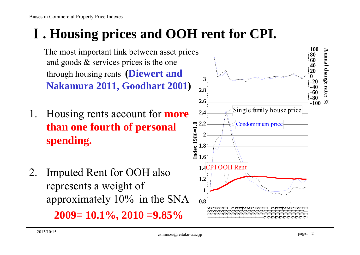# Ⅰ**. Housing prices and OOH rent for CPI.**

The most important link between asset prices and goods & services prices is the one through housing rents **(Diewert and Nakamura 2011, Goodhart 2001)**

- 1. Housing rents account for **more than one fourth of personal spending.**
- 2. Imputed Rent for OOH also represents a weight of approximately 10% in the SNA

**2009= 10.1%, 2010 =9.85%**

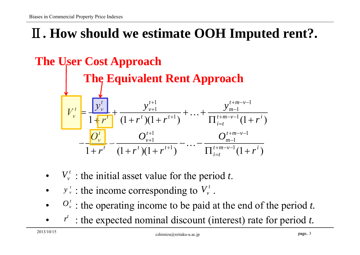# Ⅱ**. How should we estimate OOH Imputed rent?.**

### **The User Cost Approach**



- $V_v^t$ : the initial asset value for the period *t*.
- • $y^{t}$  : the income corresponding to  $V^{t}$ .
- • $O_{\nu}^{t}$ : the operating income to be paid at the end of the period *t*.
- • $r^t$ : the expected nominal discount (interest) rate for period *t*.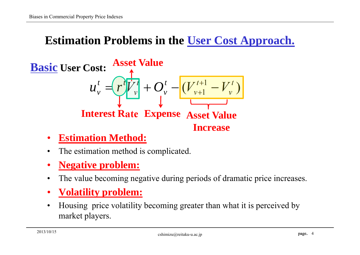### **Estimation Problems in the User Cost Approach.**



- •**Estimation Method:**
- •The estimation method is complicated.
- •**Negative problem:**
- •The value becoming negative during periods of dramatic price increases.
- •**Volatility problem:**
- • Housing price volatility becoming greater than what it is perceived by market players.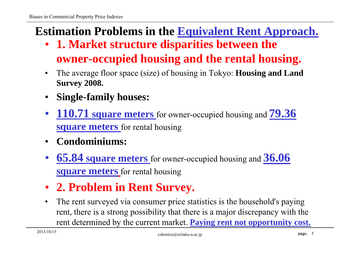## **Estimation Problems in the Equivalent Rent Approach.**

- **1. Market structure disparities between the owner-occupied housing and the rental housing.**
- • The average floor space (size) of housing in Tokyo: **Housing and Land Survey 2008.**
- $\bullet$ **Single-family houses:**
- • **110.71 square meters** for owner-occupied housing and **79.36 square meters** for rental housing
- •**Condominiums:**
- $\bullet$  **65.84 square meters** for owner-occupied housing and **36.06 square meters** for rental housing
- **2. Problem in Rent Survey.**
- • The rent surveyed via consumer price statistics is the household's paying rent, there is a strong possibility that there is a major discrepancy with the rent determined by the current market. **Paying rent not opportunity cost.**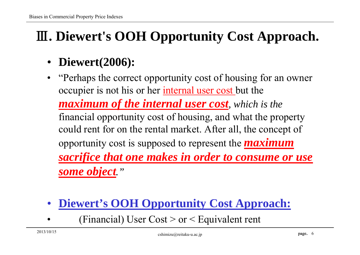# Ⅲ**. Diewert's OOH Opportunity Cost Approach.**

- **Diewert(2006):**
- • "Perhaps the correct opportunity cost of housing for an owner occupier is not his or her internal user cost but the *maximum of the internal user cost, which is the*  financial opportunity cost of housing, and what the property could rent for on the rental market. After all, the concept of opportunity cost is supposed to represent the *maximum sacrifice that one makes in order to consume or use some object."*
- •**Diewert's OOH Opportunity Cost Approach:**
- •(Financial) User  $Cost > or < Equivalent$  rent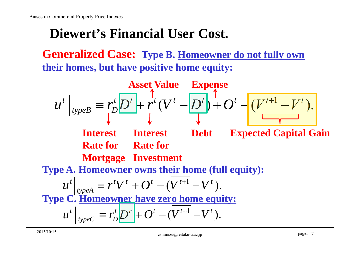## **Diewert's Financial User Cost.**

**Generalized Case: Type B. Homeowner do not fully own their homes, but have positive home equity:** 

 $\mu^t\,\big|_{\textit{typeB}} \equiv r_D^t\overline{D}^t + r^t(V^t-\overline{D}^t) + O^t - (V^{t+1}-V^t).$ **Expense Asset Value Interest Interest DebtRate for Rate for Mortgage Investment Expected Capital Gain Type A. Homeowner owns their home (full equity):**  $u^t\Big|_{typeC} \equiv r_D^t D^r\Big| + O^t - (V^{t+1} - V^t).$  $\left\{ \left. u^t \right|_{\textit{typeA}} \equiv r^t V^t + O^t - (V^{t+1} - V^t). \right. \right\}$ **Type C. Homeowner have zero home equity:**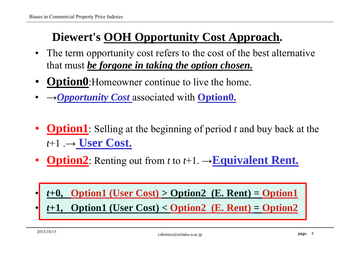## **Diewert's OOH Opportunity Cost Approach.**

- The term opportunity cost refers to the cost of the best alternative that must *be forgone in taking the option chosen.*
- •**Option0**: Homeowner continue to live the home.
- •<sup>→</sup>*Opportunity Cost* associated with **Option0.**
- $\bullet$ **Option1**: Selling at the beginning of period *t* and buy back at the *t*+1 .→ **User Cost.**
- •**Option2**: Renting out from *<sup>t</sup>* to *t*+1. →**Equivalent Rent.**

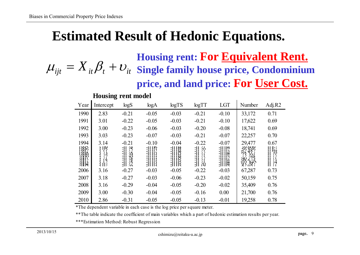## **Estimated Result of Hedonic Equations.**

*ii*  $\mu_{\text{int}} = X_{it} \beta_t + \nu_{it}$  *Single family house price, Condominium* **price, and land price: For User Cost.**

#### **Housing rent model**

| Year                             | Intercept     | log S                     | logA               | logTS      | logTT           | <b>LGT</b>       | Number                              | Adj. $R2$      |
|----------------------------------|---------------|---------------------------|--------------------|------------|-----------------|------------------|-------------------------------------|----------------|
| 1990                             | 2.83          | $-0.21$                   | $-0.05$            | $-0.03$    | $-0.21$         | $-0.10$          | 33,172                              | 0.71           |
| 1991                             | 3.01          | $-0.22$                   | $-0.05$            | $-0.03$    | $-0.21$         | $-0.10$          | 17,622                              | 0.69           |
| 1992                             | 3.00          | $-0.23$                   | $-0.06$            | $-0.03$    | $-0.20$         | $-0.08$          | 18,741                              | 0.69           |
| 1993                             | 3.03          | $-0.23$                   | $-0.07$            | $-0.03$    | $-0.21$         | $-0.07$          | 22,257                              | 0.70           |
| 1994                             | 3.14          | $-0.21$                   | $-0.10$            | $-0.04$    | $-0.22$         | $-0.07$          | 29,477                              | 0.67           |
| ပူပူး<br>  ပူပူး<br>  ပူပူး      | វ ।២<br>リく    | -!!<br>-11                | -11112<br>31 I I Z | 개10<br>引打役 | 非范              | -11114<br>EILIM  | 36.846<br>$R_x^7$ $4$ $\frac{1}{1}$ | $\frac{11}{2}$ |
| ÿÿÿ<br>דירון<br>אווירו<br>אווירו | 分<br>八<br>  2 | グリックスターム<br>= <br>= <br>= |                    | 惯          | クリクト<br>- <br>- | ון<br>גון<br>גון | $7/1$ X<br>90 728<br>111 X/A        | ון<br>גו       |
| 71 II 14<br>羽膜                   | 玄自ら           | ΞĦ                        | EN HE              | EHHR       | EH 70           | 3118             | 95.87                               | -77            |
| 2006                             | 3.16          | $-0.27$                   | $-0.03$            | $-0.05$    | $-0.22$         | $-0.03$          | 67,287                              | 0.73           |
| 2007                             | 3.18          | $-0.27$                   | $-0.03$            | $-0.06$    | $-0.23$         | $-0.02$          | 50,159                              | 0.75           |
| 2008                             | 3.16          | $-0.29$                   | $-0.04$            | $-0.05$    | $-0.20$         | $-0.02$          | 35,409                              | 0.76           |
| 2009                             | 3.00          | $-0.30$                   | $-0.04$            | $-0.05$    | $-0.16$         | 0.00             | 21,700                              | 0.76           |
| 2010                             | 2.86          | $-0.31$                   | $-0.05$            | $-0.05$    | $-0.13$         | $-0.01$          | 19,258                              | 0.78           |

\*The dependent variable in each case is the log price per square meter.

\*\*The table indicate the coefficient of main variables which a part of hedonic estimation results per year.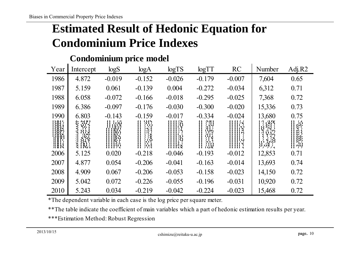## **Estimated Result of Hedonic Equation for Condominium Price Indexes**

| Year                                                 | Intercept                                          | log S    | log A                                                                                                | logTS                                             | logTT                                                                           | <b>RC</b>               | Number                                                                                                                                                                                                                                                                                                                                                                                                | Adj. $R2$ |
|------------------------------------------------------|----------------------------------------------------|----------|------------------------------------------------------------------------------------------------------|---------------------------------------------------|---------------------------------------------------------------------------------|-------------------------|-------------------------------------------------------------------------------------------------------------------------------------------------------------------------------------------------------------------------------------------------------------------------------------------------------------------------------------------------------------------------------------------------------|-----------|
| 1986                                                 | 4.872                                              | $-0.019$ | $-0.152$                                                                                             | $-0.026$                                          | $-0.179$                                                                        | $-0.007$                | 7,604                                                                                                                                                                                                                                                                                                                                                                                                 | 0.65      |
| 1987                                                 | 5.159                                              | 0.061    | $-0.139$                                                                                             | 0.004                                             | $-0.272$                                                                        | $-0.034$                | 6,312                                                                                                                                                                                                                                                                                                                                                                                                 | 0.71      |
| 1988                                                 | 6.058                                              | $-0.072$ | $-0.166$                                                                                             | $-0.018$                                          | $-0.295$                                                                        | $-0.025$                | 7,368                                                                                                                                                                                                                                                                                                                                                                                                 | 0.72      |
| 1989                                                 | 6.386                                              | $-0.097$ | $-0.176$                                                                                             | $-0.030$                                          | $-0.300$                                                                        | $-0.020$                | 15,336                                                                                                                                                                                                                                                                                                                                                                                                | 0.73      |
| 1990                                                 | 6.803                                              | $-0.143$ | $-0.159$                                                                                             | $-0.017$                                          | $-0.334$                                                                        | $-0.024$                | 13,680                                                                                                                                                                                                                                                                                                                                                                                                | 0.75      |
| UU<br>  UU /<br>  UU /<br>  UU /<br>  UU /<br>  UU / | 5 3YV<br>ንኮ ፤<br>$\prime$                          |          | - 2021年7月17日 - 2022年7月17日 - 2022年7月17日 - 2022年7月17日 - 2022年7月17日 - 2022年7月17日 - 2022年7月17日 - 2022年7月 | $\prod_{i=1}^{n} \prod_{i=1}^{n} \prod_{i=1}^{n}$ | $\begin{array}{c} \n 741 \\  741 \\  741 \\  717 \\  717 \\  717\n \end{array}$ | 11112<br>179<br>$111 -$ | $\begin{array}{l} \n\begin{array}{c}\n1 & 1 & 1 & 1 \\ 1 & 1 & 1 & 1 \\ 1 & 1 & 1 & 1 \\ 1 & 1 & 1 & 1\n\end{array} \\ \begin{array}{c}\n1 & 1 & 1 & 1 \\ 1 & 1 & 1 & 1 \\ 1 & 1 & 1 & 1\n\end{array} \\ \begin{array}{c}\n1 & 1 & 1 & 1 \\ 1 & 1 & 1 & 1 \\ 1 & 1 & 1 & 1\n\end{array} \\ \begin{array}{c}\n1 & 1 & 1 & 1 \\ 1 & 1 & 1 & 1 \\ 1 & 1 & 1 & 1\n\end{array} \\ \begin{array}{c}\n1 & 1$ |           |
|                                                      | Ĥł≹<br>TUA                                         |          |                                                                                                      | ili54                                             |                                                                                 | $\prod$                 |                                                                                                                                                                                                                                                                                                                                                                                                       |           |
| 分 ii ii i)<br>31 ii 1.4<br>31 ii 1.4                 | 22 22 23<br>23 23 24<br>23 24 25 26 27 27 27 27 27 |          | 狩済                                                                                                   | $\begin{array}{c} 111170 \\ 11137 \end{array}$    | 行は<br>7日×7<br>7日~7日<br>7日以                                                      | <br>      <br>          | $\begin{bmatrix} 1 & 1 & 2 & 1 \\ 1 & 1 & 2 & 1 \\ 0 & 1 & 1 & 1 \\ 0 & 0 & 1 & 1 \\ 0 & 0 & 0 & 1 \end{bmatrix}$                                                                                                                                                                                                                                                                                     |           |
| 2006                                                 | 5.125                                              | 0.020    | $-0.218$                                                                                             | $-0.046$                                          | $-0.193$                                                                        | $-0.012$                | 12,853                                                                                                                                                                                                                                                                                                                                                                                                | 0.71      |
| 2007                                                 | 4.877                                              | 0.054    | $-0.206$                                                                                             | $-0.041$                                          | $-0.163$                                                                        | $-0.014$                | 13,693                                                                                                                                                                                                                                                                                                                                                                                                | 0.74      |
| 2008                                                 | 4.909                                              | 0.067    | $-0.206$                                                                                             | $-0.053$                                          | $-0.158$                                                                        | $-0.023$                | 14,150                                                                                                                                                                                                                                                                                                                                                                                                | 0.72      |
| 2009                                                 | 5.042                                              | 0.072    | $-0.226$                                                                                             | $-0.055$                                          | $-0.196$                                                                        | $-0.031$                | 10,920                                                                                                                                                                                                                                                                                                                                                                                                | 0.72      |
| 2010                                                 | 5.243                                              | 0.034    | $-0.219$                                                                                             | $-0.042$                                          | $-0.224$                                                                        | $-0.023$                | 15,468                                                                                                                                                                                                                                                                                                                                                                                                | 0.72      |

#### **Condominium price model**

\*The dependent variable in each case is the log price per square meter.

\*\*The table indicate the coefficient of main variables which a part of hedonic estimation results per year.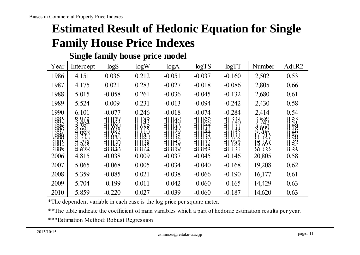## **Estimated Result of Hedonic Equation for Single Family House Price Indexes**

|                                                                                              | Dingit iamnly houst price mouch |                                                                                                       |                                                                                                                          |                                                                                                         |                                                                                   |                                                                                              |                                                                                                                                                           |           |  |
|----------------------------------------------------------------------------------------------|---------------------------------|-------------------------------------------------------------------------------------------------------|--------------------------------------------------------------------------------------------------------------------------|---------------------------------------------------------------------------------------------------------|-----------------------------------------------------------------------------------|----------------------------------------------------------------------------------------------|-----------------------------------------------------------------------------------------------------------------------------------------------------------|-----------|--|
| Year                                                                                         | Intercept                       | log S                                                                                                 | logW                                                                                                                     | logA                                                                                                    | logTS                                                                             | logTT                                                                                        | Number                                                                                                                                                    | Adj. $R2$ |  |
| 1986                                                                                         | 4.151                           | 0.036                                                                                                 | 0.212                                                                                                                    | $-0.051$                                                                                                | $-0.037$                                                                          | $-0.160$                                                                                     | 2,502                                                                                                                                                     | 0.53      |  |
| 1987                                                                                         | 4.175                           | 0.021                                                                                                 | 0.283                                                                                                                    | $-0.027$                                                                                                | $-0.018$                                                                          | $-0.086$                                                                                     | 2,805                                                                                                                                                     | 0.66      |  |
| 1988                                                                                         | 5.015                           | $-0.058$                                                                                              | 0.261                                                                                                                    | $-0.036$                                                                                                | $-0.045$                                                                          | $-0.132$                                                                                     | 2,680                                                                                                                                                     | 0.61      |  |
| 1989                                                                                         | 5.524                           | 0.009                                                                                                 | 0.231                                                                                                                    | $-0.013$                                                                                                | $-0.094$                                                                          | $-0.242$                                                                                     | 2,430                                                                                                                                                     | 0.58      |  |
| 1990                                                                                         | 6.101                           | $-0.077$                                                                                              | 0.246                                                                                                                    | $-0.018$                                                                                                | $-0.074$                                                                          | $-0.284$                                                                                     | 2,414                                                                                                                                                     | 0.54      |  |
| YYT<br>  YYT<br>  YYT<br>  YYT<br>  GG' /<br>  YYX<br>  UYY<br>71 N L L<br>ŽUNDŽ<br>外说<br>外说 | $\frac{1}{2}$<br>5              | -111124<br>=     }<br>=    x  <br>=      X<br>=     */<br>=     */<br>=     */ <br>EH H 26<br>EH H 23 | 122<br>     <del>47</del><br>   UXX<br>!!   T.S<br>     X)<br>     X)<br>     A  <br>$\prod_{i=1}^{11} \prod_{j=2}^{13}$ | -11 11소유<br>TT SU<br>11144<br>$\ket{14}$<br>$\frac{11}{11}$<br>=    47<br>=    74<br>=    30<br>=    30 | <b>EN HYA</b><br><i>i</i> inn<br>ायूय<br>1134<br>=     {}<br>=     {}<br>=     {{ | $\frac{77}{130}$<br>רדווב<br>$\begin{array}{c} 2111111 \\ -1111111 \\ -11111111 \end{array}$ | $\frac{7}{2}$ $\frac{431}{14}$<br>$\frac{1}{4}$ $\frac{1}{12}$<br>$\frac{1}{2}$<br>  4 - 7 1 - 7<br>  5 - 76 1<br>  8 - 17 7<br>  8 - 73 7<br>  71 - 73 7 |           |  |
| 2006                                                                                         | 4.815                           | $-0.038$                                                                                              | 0.009                                                                                                                    | $-0.037$                                                                                                | $-0.045$                                                                          | $-0.146$                                                                                     | 20,805                                                                                                                                                    | 0.58      |  |
| 2007                                                                                         | 5.065                           | $-0.068$                                                                                              | 0.005                                                                                                                    | $-0.034$                                                                                                | $-0.040$                                                                          | $-0.168$                                                                                     | 19,208                                                                                                                                                    | 0.62      |  |
| 2008                                                                                         | 5.359                           | $-0.085$                                                                                              | 0.021                                                                                                                    | $-0.038$                                                                                                | $-0.066$                                                                          | $-0.190$                                                                                     | 16,177                                                                                                                                                    | 0.61      |  |
| 2009                                                                                         | 5.704                           | $-0.199$                                                                                              | 0.011                                                                                                                    | $-0.042$                                                                                                | $-0.060$                                                                          | $-0.165$                                                                                     | 14,429                                                                                                                                                    | 0.63      |  |
| 2010                                                                                         | 5.859                           | $-0.220$                                                                                              | 0.027                                                                                                                    | $-0.039$                                                                                                | $-0.060$                                                                          | $-0.187$                                                                                     | 14,620                                                                                                                                                    | 0.63      |  |

#### **Single family house price model**

\*The dependent variable in each case is the log price per square meter.

\*\*The table indicate the coefficient of main variables which a part of hedonic estimation results per year.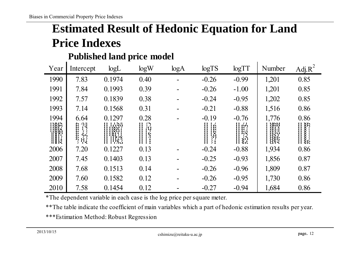## **Estimated Result of Hedonic Equation for Land Price Indexes**

#### **Published land price model**

| Year            | Intercept  | logL                                   | logW                                                                             | logA | logTS                     | logTT                                                               | Number                                 | Adj. $R^2$                                                                                                                                                                                            |
|-----------------|------------|----------------------------------------|----------------------------------------------------------------------------------|------|---------------------------|---------------------------------------------------------------------|----------------------------------------|-------------------------------------------------------------------------------------------------------------------------------------------------------------------------------------------------------|
| 1990            | 7.83       | 0.1974                                 | 0.40                                                                             |      | $-0.26$                   | $-0.99$                                                             | 1,201                                  | 0.85                                                                                                                                                                                                  |
| 1991            | 7.84       | 0.1993                                 | 0.39                                                                             |      | $-0.26$                   | $-1.00$                                                             | 1,201                                  | 0.85                                                                                                                                                                                                  |
| 1992            | 7.57       | 0.1839                                 | 0.38                                                                             |      | $-0.24$                   | $-0.95$                                                             | 1,202                                  | 0.85                                                                                                                                                                                                  |
| 1993            | 7.14       | 0.1568                                 | 0.31                                                                             |      | $-0.21$                   | $-0.88$                                                             | 1,516                                  | 0.86                                                                                                                                                                                                  |
| 1994            | 6.64       | 0.1297                                 | 0.28                                                                             |      | $-0.19$                   | $-0.76$                                                             | 1,776                                  | 0.86                                                                                                                                                                                                  |
|                 |            | 11 1124<br>111807<br>111801<br>1111821 | $\bigcirc$<br>8<br>. .<br>ĨĨ.                                                    |      | ₩<br>$\frac{1}{2}$<br>īī. | $\begin{array}{c} 1171 \\ 1167 \\ 1167 \\ 1167 \\ 1168 \end{array}$ |                                        |                                                                                                                                                                                                       |
| 71 N F 7<br>纵にく | 1/4<br>¶⊀⊺ | TETTIN<br>1137<br>i TAQ                | $\overline{\phantom{a}}$<br>. .<br>. .<br>17<br>. .<br>$\frac{1}{2}$<br>. .<br>Ħ |      | . .<br>冯芬<br>''<br>₩      | $\prod_{i=1}^{n} \sum_{k=1}^{n}$                                    | UAU<br>UAU<br>UAU<br>UXA<br>UXA<br>UXA | $\begin{array}{c} 11 \text{ Xr} \\ 11 \text{ Xr} \\ 11 \text{ Xr} \\ 11 \text{ Xr} \\ 11 \text{ Xr} \\ 11 \text{ Xr} \\ 11 \text{ Xr} \\ 11 \text{ Xr} \\ 11 \text{ Xr} \\ 11 \text{ Xr} \end{array}$ |
| 2006            | 7.20       | 0.1227                                 | 0.13                                                                             |      | $-0.24$                   | $-0.88$                                                             | 1,934                                  | 0.86                                                                                                                                                                                                  |
| 2007            | 7.45       | 0.1403                                 | 0.13                                                                             |      | $-0.25$                   | $-0.93$                                                             | 1,856                                  | 0.87                                                                                                                                                                                                  |
| 2008            | 7.68       | 0.1513                                 | 0.14                                                                             |      | $-0.26$                   | $-0.96$                                                             | 1,809                                  | 0.87                                                                                                                                                                                                  |
| 2009            | 7.60       | 0.1582                                 | 0.12                                                                             |      | $-0.26$                   | $-0.95$                                                             | 1,730                                  | 0.86                                                                                                                                                                                                  |
| 2010            | 7.58       | 0.1454                                 | 0.12                                                                             |      | $-0.27$                   | $-0.94$                                                             | 1,684                                  | 0.86                                                                                                                                                                                                  |

\*The dependent variable in each case is the log price per square meter.

\*\*The table indicate the coefficient of main variables which a part of hedonic estimation results per year.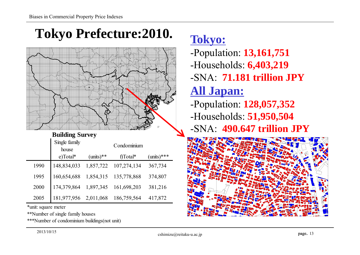# **Tokyo Prefecture:2010.**



#### **Building Survey**

|      | Single family<br>house |            | Condominium |              |
|------|------------------------|------------|-------------|--------------|
|      | $e)$ Total*            | $(mits)**$ | f) $Total*$ | $(mits)$ *** |
| 1990 | 148,834,033            | 1,857,722  | 107,274,134 | 367,734      |
| 1995 | 160,654,688            | 1,854,315  | 135,778,868 | 374,807      |
| 2000 | 174,379,864            | 1,897,345  | 161,698,203 | 381,216      |
| 2005 | 181,977,956            | 2,011,068  | 186,759,564 | 417,872      |

\*unit: square meter

\*\*Number of single family houses

\*\*\*Number of condominium buildings(not unit)

## **Tokyo:**

- -Population: **13,161,751**
- -Households: **6,403,219**
- -SNA: **71.181 trillion JPY**

## **All Japan:**

- -Population: **128,057,352**
- -Households: **51,950,504**

-SNA: **490.647 trillion JPY**

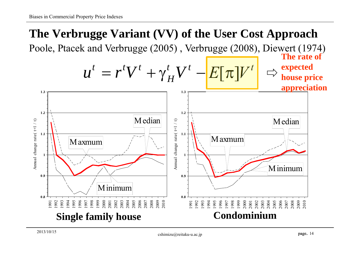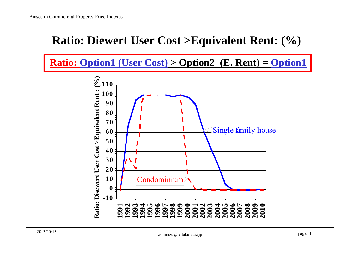### **Ratio: Diewert User Cost >Equivalent Rent: (%)**

**Ratio: Option1 (User Cost) > Option2 (E. Rent) = Option1**

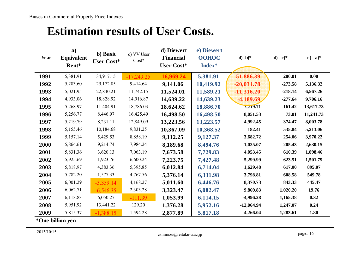### **Estimation results of User Costs.**

| Year | $\mathbf{a}$<br><b>Equivalent</b><br>Rent* | b) Basic<br><b>User Cost*</b> | c) VV User<br>$Cost*$ | d) Diewert<br><b>Financial</b><br>User Cost* | e) Diewert<br><b>OOHOC</b><br>Index* | $d$ ) -b)*   | $d$ ) - $c$ )* | $e) - a)*$ |
|------|--------------------------------------------|-------------------------------|-----------------------|----------------------------------------------|--------------------------------------|--------------|----------------|------------|
| 1991 | 5,381.91                                   | 34,917.15                     | $-17,249.25$          | $-16,969.24$                                 | 5,381.91                             | $-51,886.39$ | 280.01         | 0.00       |
| 1992 | 5,283.60                                   | 29,172.85                     | 9,414.64              | 9,141.06                                     | 10,419.92                            | $-20,031.78$ | $-273.58$      | 5,136.32   |
| 1993 | 5,021.95                                   | 22,840.21                     | 11,742.15             | 11,524.01                                    | 11,589.21                            | $-11,316.20$ | $-218.14$      | 6,567.26   |
| 1994 | 4,933.06                                   | 18,828.92                     | 14,916.87             | 14,639.22                                    | 14,639.23                            | $-4,189.69$  | $-277.64$      | 9,706.16   |
| 1995 | 5,268.97                                   | 11,404.91                     | 18,786.03             | 18,624.62                                    | 18,886.70                            | 7,219.71     | $-161.42$      | 13,617.73  |
| 1996 | 5,256.77                                   | 8,446.97                      | 16,425.49             | 16,498.50                                    | 16,498.50                            | 8,051.53     | 73.01          | 11,241.73  |
| 1997 | 5,219.79                                   | 8,231.11                      | 12,849.09             | 13,223.56                                    | 13,223.57                            | 4,992.45     | 374.47         | 8,003.78   |
| 1998 | 5,155.46                                   | 10,184.68                     | 9,831.25              | 10,367.09                                    | 10,368.52                            | 182.41       | 535.84         | 5,213.06   |
| 1999 | 5,157.14                                   | 5,429.53                      | 8,858.19              | 9,112.25                                     | 9,127.37                             | 3,682.72     | 254.06         | 3,970.22   |
| 2000 | 5,864.61                                   | 9,214.74                      | 7,984.24              | 8,189.68                                     | 8,494.76                             | $-1,025.07$  | 205.43         | 2,630.15   |
| 2001 | 5,831.36                                   | 3,620.13                      | 7,063.19              | 7,673.58                                     | 7,729.83                             | 4,053.45     | 610.39         | 1,898.46   |
| 2002 | 5,925.69                                   | 1,923.76                      | 6,600.24              | 7,223.75                                     | 7,427.48                             | 5,299.99     | 623.51         | 1,501.79   |
| 2003 | 5,818.97                                   | 4,383.36                      | 5,395.85              | 6,012.84                                     | 6,714.04                             | 1,629.48     | 617.00         | 895.07     |
| 2004 | 5,782.20                                   | 1,577.33                      | 4,767.56              | 5,376.14                                     | 6,331.98                             | 3,798.81     | 608.58         | 549.78     |
| 2005 | 6,001.29                                   | $-3,359.14$                   | 4,168.27              | 5,011.60                                     | 6,446.76                             | 8,370.73     | 843.33         | 445.47     |
| 2006 | 6,062.71                                   | $-6,546.35$                   | 2,303.28              | 3,323.47                                     | 6,082.47                             | 9,869.83     | 1,020.20       | 19.76      |
| 2007 | 6,113.83                                   | 6,050.27                      | $-111.39$             | 1,053.99                                     | 6,114.15                             | $-4,996.28$  | 1,165.38       | 0.32       |
| 2008 | 5,951.92                                   | 13,441.22                     | 129.20                | 1,376.28                                     | 5,952.16                             | $-12,064.94$ | 1,247.07       | 0.24       |
| 2009 | 5,815.37                                   | $-1,388.15$                   | 1,594.28              | 2,877.89                                     | 5,817.18                             | 4,266.04     | 1,283.61       | 1.80       |

**\*One billion yen**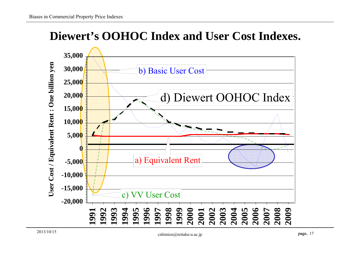### **Diewert's OOHOC Index and User Cost Indexes.**

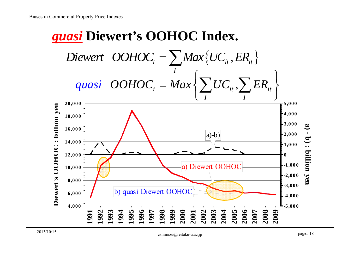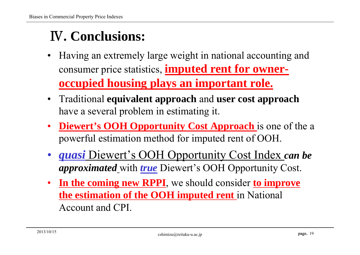# Ⅳ**. Conclusions:**

- • Having an extremely large weight in national accounting and consumer price statistics, **imputed rent for owneroccupied housing plays an important role.**
- Traditional **equivalent approach** and **user cost approach**  have a several problem in estimating it.
- •**Diewert's OOH Opportunity Cost Approach** is one of the a powerful estimation method for imputed rent of OOH.
- • *quasi* Diewert's OOH Opportunity Cost Index *can be approximated* with *true* Diewert's OOH Opportunity Cost.
- • **In the coming new RPPI**, we should consider **to improve the estimation of the OOH imputed rent** in National Account and CPI.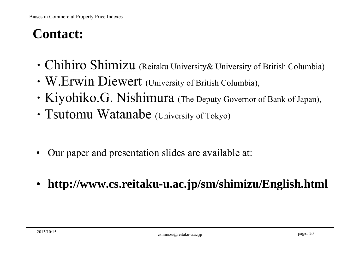# **Contact:**

- Chihiro Shimizu (Reitaku University& University of British Columbia)
- ・W.Erwin Diewert (University of British Columbia),
- Kiyohiko.G. Nishimura (The Deputy Governor of Bank of Japan),
- ・Tsutomu Watanabe (University of Tokyo)
- •Our paper and presentation slides are available at:
- •**http://www.cs.reitaku-u.ac.jp/sm/shimizu/English.html**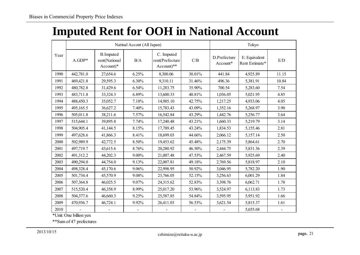### **Imputed Rent for OOH in National Account**

|      |           | Natinal Accont (All Japan)                       | Tokyo                    |                                             |        |                          |                                 |                          |
|------|-----------|--------------------------------------------------|--------------------------|---------------------------------------------|--------|--------------------------|---------------------------------|--------------------------|
| Year | $A.GDP*$  | <b>B.Imputed</b><br>rent(National<br>$Account)*$ | B/A                      | C. Imputed<br>rent(Prefecture<br>Account)** | C/B    | D.Prefecture<br>Account* | E: Equivalent<br>Rent Estimate* | E/D                      |
| 1990 | 442,781.0 | 27,654.6                                         | 6.25%                    | 8,300.06                                    | 30.01% | 441.84                   | 4,925.89                        | 11.15                    |
| 1991 | 469,421.8 | 29,595.3                                         | 6.30%                    | 9,310.11                                    | 31.46% | 496.36                   | 5,381.91                        | 10.84                    |
| 1992 | 480,782.8 | 31,429.6                                         | 6.54%                    | 11,283.75                                   | 35.90% | 700.54                   | 5,283.60                        | 7.54                     |
| 1993 | 483,711.8 | 33,324.3                                         | 6.89%                    | 13,600.33                                   | 40.81% | 1,036.05                 | 5,021.95                        | 4.85                     |
| 1994 | 488,450.3 | 35,052.7                                         | 7.18%                    | 14,985.10                                   | 42.75% | 1,217.25                 | 4,933.06                        | 4.05                     |
| 1995 | 495,165.5 | 36,627.2                                         | 7.40%                    | 15,783.43                                   | 43.09% | 1,352.16                 | 5,268.97                        | 3.90                     |
| 1996 | 505,011.8 | 38,211.6                                         | 7.57%                    | 16,542.84                                   | 43.29% | 1,442.76                 | 5,256.77                        | 3.64                     |
| 1997 | 515,644.1 | 39,895.8                                         | 7.74%                    | 17,240.48                                   | 43.21% | 1,660.33                 | 5,219.79                        | 3.14                     |
| 1998 | 504,905.4 | 41,144.5                                         | 8.15%                    | 17,789.45                                   | 43.24% | 1,834.53                 | 5,155.46                        | 2.81                     |
| 1999 | 497,628.6 | 41,866.3                                         | 8.41%                    | 18,699.03                                   | 44.66% | 2,066.12                 | 5,157.14                        | 2.50                     |
| 2000 | 502,989.9 | 42,772.5                                         | 8.50%                    | 19,453.62                                   | 45.48% | 2,175.39                 | 5,864.61                        | 2.70                     |
| 2001 | 497,719.7 | 43,615.6                                         | 8.76%                    | 20,280.92                                   | 46.50% | 2,444.75                 | 5,831.36                        | 2.39                     |
| 2002 | 491,312.2 | 44,202.3                                         | $9.00\%$                 | 21,007.48                                   | 47.53% | 2,467.59                 | 5,925.69                        | 2.40                     |
| 2003 | 490,294.0 | 44,754.0                                         | 9.13%                    | 22,007.81                                   | 49.18% | 2,769.56                 | 5,818.97                        | 2.10                     |
| 2004 | 498,328.4 | 45,170.6                                         | 9.06%                    | 22,998.95                                   | 50.92% | 3,046.95                 | 5,782.20                        | 1.90                     |
| 2005 | 501,734.4 | 45,570.9                                         | 9.08%                    | 23,766.05                                   | 52.15% | 3,256.63                 | 6,001.29                        | 1.84                     |
| 2006 | 507,364.8 | 46,025.5                                         | 9.07%                    | 24,315.62                                   | 52.83% | 3,398.76                 | 6,062.71                        | 1.78                     |
| 2007 | 515,520.4 | 46,358.9                                         | 8.99%                    | 25,017.20                                   | 53.96% | 3,524.97                 | 6,113.83                        | 1.73                     |
| 2008 | 504,377.6 | 46,660.3                                         | 9.25%                    | 25,587.85                                   | 54.84% | 3,595.95                 | 5,951.92                        | 1.66                     |
| 2009 | 470,936.7 | 46,724.1                                         | 9.92%                    | 26,411.03                                   | 56.53% | 3,621.54                 | 5,815.37                        | 1.61                     |
| 2010 |           |                                                  | $\overline{\phantom{a}}$ |                                             |        |                          | 5,655.68                        | $\overline{\phantom{a}}$ |

\*Unit: One billion yen

\*\*Sum of 47 prefectures